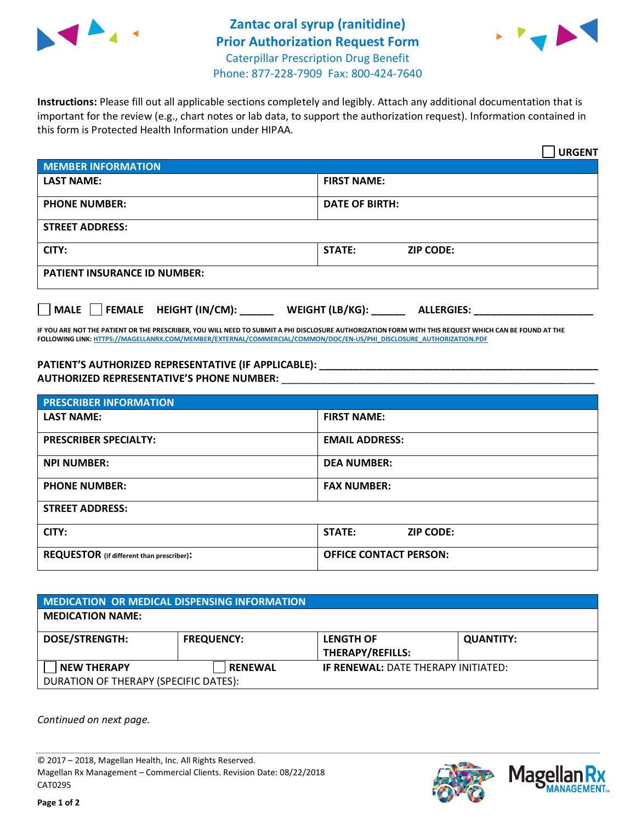



**Instructions:** Please fill out all applicable sections completely and legibly. Attach any additional documentation that is important for the review (e.g., chart notes or lab data, to support the authorization request). Information contained in this form is Protected Health Information under HIPAA.

|                                       | <b>URGENT</b>                        |  |  |  |
|---------------------------------------|--------------------------------------|--|--|--|
| <b>MEMBER INFORMATION</b>             |                                      |  |  |  |
| <b>LAST NAME:</b>                     | <b>FIRST NAME:</b>                   |  |  |  |
| <b>PHONE NUMBER:</b>                  | <b>DATE OF BIRTH:</b>                |  |  |  |
| <b>STREET ADDRESS:</b>                |                                      |  |  |  |
| CITY:                                 | <b>STATE:</b><br><b>ZIP CODE:</b>    |  |  |  |
| <b>PATIENT INSURANCE ID NUMBER:</b>   |                                      |  |  |  |
| FEMALE HEIGHT (IN/CM):<br><b>MALE</b> | WEIGHT (LB/KG):<br><b>ALLERGIES:</b> |  |  |  |

**IF YOU ARE NOT THE PATIENT OR THE PRESCRIBER, YOU WILL NEED TO SUBMIT A PHI DISCLOSURE AUTHORIZATION FORM WITH THIS REQUEST WHICH CAN BE FOUND AT THE FOLLOWING LINK[: HTTPS://MAGELLANRX.COM/MEMBER/EXTERNAL/COMMERCIAL/COMMON/DOC/EN-US/PHI\\_DISCLOSURE\\_AUTHORIZATION.PDF](https://magellanrx.com/member/external/commercial/common/doc/en-us/PHI_Disclosure_Authorization.pdf)**

**PATIENT'S AUTHORIZED REPRESENTATIVE (IF APPLICABLE): \_\_\_\_\_\_\_\_\_\_\_\_\_\_\_\_\_\_\_\_\_\_\_\_\_\_\_\_\_\_\_\_\_\_\_\_\_\_\_\_\_\_\_\_\_\_\_\_\_ AUTHORIZED REPRESENTATIVE'S PHONE NUMBER:** \_\_\_\_\_\_\_\_\_\_\_\_\_\_\_\_\_\_\_\_\_\_\_\_\_\_\_\_\_\_\_\_\_\_\_\_\_\_\_\_\_\_\_\_\_\_\_\_\_\_\_\_\_\_\_

| <b>PRESCRIBER INFORMATION</b>             |                                   |  |
|-------------------------------------------|-----------------------------------|--|
| <b>LAST NAME:</b>                         | <b>FIRST NAME:</b>                |  |
| <b>PRESCRIBER SPECIALTY:</b>              | <b>EMAIL ADDRESS:</b>             |  |
| <b>NPI NUMBER:</b>                        | <b>DEA NUMBER:</b>                |  |
| <b>PHONE NUMBER:</b>                      | <b>FAX NUMBER:</b>                |  |
| <b>STREET ADDRESS:</b>                    |                                   |  |
| CITY:                                     | <b>STATE:</b><br><b>ZIP CODE:</b> |  |
| REQUESTOR (if different than prescriber): | <b>OFFICE CONTACT PERSON:</b>     |  |

| MEDICATION OR MEDICAL DISPENSING INFORMATION |                   |                                            |                  |  |  |
|----------------------------------------------|-------------------|--------------------------------------------|------------------|--|--|
| <b>MEDICATION NAME:</b>                      |                   |                                            |                  |  |  |
| <b>DOSE/STRENGTH:</b>                        | <b>FREQUENCY:</b> | <b>LENGTH OF</b>                           | <b>QUANTITY:</b> |  |  |
|                                              |                   | THERAPY/REFILLS:                           |                  |  |  |
| <b>NEW THERAPY</b>                           | <b>RENEWAL</b>    | <b>IF RENEWAL: DATE THERAPY INITIATED:</b> |                  |  |  |
| DURATION OF THERAPY (SPECIFIC DATES):        |                   |                                            |                  |  |  |

*Continued on next page.*

© 2017 – 2018, Magellan Health, Inc. All Rights Reserved. Magellan Rx Management – Commercial Clients. Revision Date: 08/22/2018 CAT0295